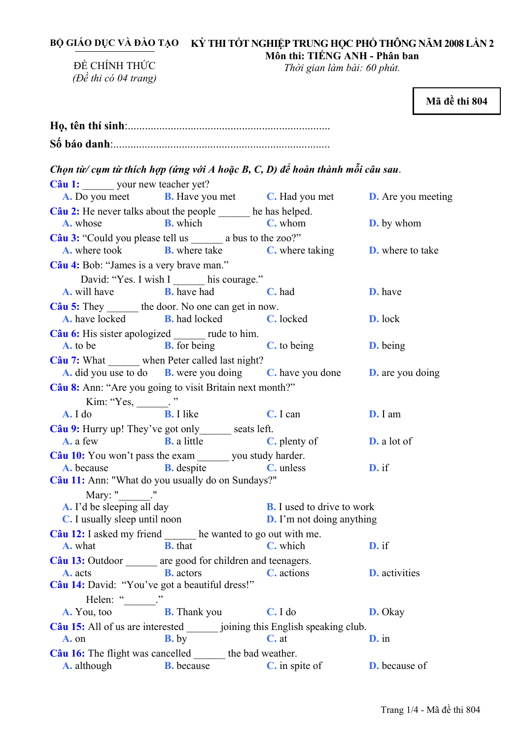BỘ GIÁO DỤC VÀ ĐÀO TẠO — KỲ THI TÔT NGHIỆP TRUNG HỌC PHÔ THÔNG NĂM 2008 LÂN 2 **Môn thi: TIẾNG ANH - Phân ban** 

ĐỀ CHÍNH THỨC *(Đề thi có 04 trang)* 

*Thời gian làm bài: 60 phút.* 

**Mã đề thi 804** 

| Chọn từ/ cụm từ thích hợp (ứng với A hoặc B, C, D) để hoàn thành mỗi câu sau.          |                                                                                              |                                                                       |                      |
|----------------------------------------------------------------------------------------|----------------------------------------------------------------------------------------------|-----------------------------------------------------------------------|----------------------|
| Câu 1: your new teacher yet?                                                           | <b>A.</b> Do you meet <b>B.</b> Have you met <b>C.</b> Had you met <b>D.</b> Are you meeting |                                                                       |                      |
| Câu 2: He never talks about the people ______ he has helped.<br>A. whose               | <b>B.</b> which                                                                              | <b>C</b> . whom <b>D.</b> by whom                                     |                      |
| Câu 3: "Could you please tell us ________ a bus to the zoo?"                           | <b>A.</b> where took <b>B.</b> where take <b>C.</b> where taking <b>D.</b> where to take     |                                                                       |                      |
| Câu 4: Bob: "James is a very brave man."                                               |                                                                                              |                                                                       |                      |
|                                                                                        | David: "Yes. I wish I _____ his courage."<br><b>A.</b> will have <b>B.</b> have had          | C. had                                                                | D. have              |
| Câu 5: They _______ the door. No one can get in now.                                   | <b>A.</b> have locked <b>B.</b> had locked <b>C.</b> locked                                  |                                                                       | D. lock              |
| Câu 6: His sister apologized _______ rude to him.                                      | <b>A.</b> to be <b>B.</b> for being <b>C.</b> to being                                       |                                                                       | <b>D.</b> being      |
| Câu 7: What ______ when Peter called last night?                                       | A. did you use to do B. were you doing C. have you done D. are you doing                     |                                                                       |                      |
| Câu 8: Ann: "Are you going to visit Britain next month?"                               |                                                                                              |                                                                       |                      |
| Kim: "Yes, $\frac{1}{\sqrt{B}}$ . I like<br>$A. I$ do                                  |                                                                                              | C. I can                                                              | D. I am              |
| Câu 9: Hurry up! They've got only ______ seats left.                                   | <b>A.</b> a few <b>B.</b> a little <b>C.</b> plenty of                                       |                                                                       | <b>D.</b> a lot of   |
| Câu 10: You won't pass the exam _______ you study harder.                              |                                                                                              |                                                                       |                      |
| Câu 11: Ann: "What do you usually do on Sundays?"                                      | <b>A.</b> because <b>B.</b> despite <b>C.</b> unless                                         |                                                                       | D. if                |
| Mary: "_______."<br>A. I'd be sleeping all day<br><b>C.</b> I usually sleep until noon |                                                                                              | <b>B.</b> I used to drive to work<br><b>D.</b> I'm not doing anything |                      |
| Câu 12: I asked my friend _______ he wanted to go out with me.                         |                                                                                              |                                                                       |                      |
| A. what                                                                                | <b>B.</b> that                                                                               | C. which                                                              | D. if                |
| Câu 13: Outdoor _______ are good for children and teenagers.<br>A. acts                | <b>B.</b> actors                                                                             | <b>C.</b> actions                                                     | <b>D.</b> activities |
| Câu 14: David: "You've got a beautiful dress!"<br>Helen: "_______."                    |                                                                                              |                                                                       |                      |
| A. You, too                                                                            | <b>B.</b> Thank you                                                                          | C. I do                                                               | D. Okay              |
| Câu 15: All of us are interested ________ joining this English speaking club.          |                                                                                              |                                                                       |                      |
| A. on                                                                                  | $B$ , by                                                                                     | $C.$ at                                                               | $\mathbf{D}$ . in    |
| <b>Câu 16:</b> The flight was cancelled the bad weather.<br><b>A.</b> although         | <b>B.</b> because                                                                            | <b>C.</b> in spite of                                                 | <b>D.</b> because of |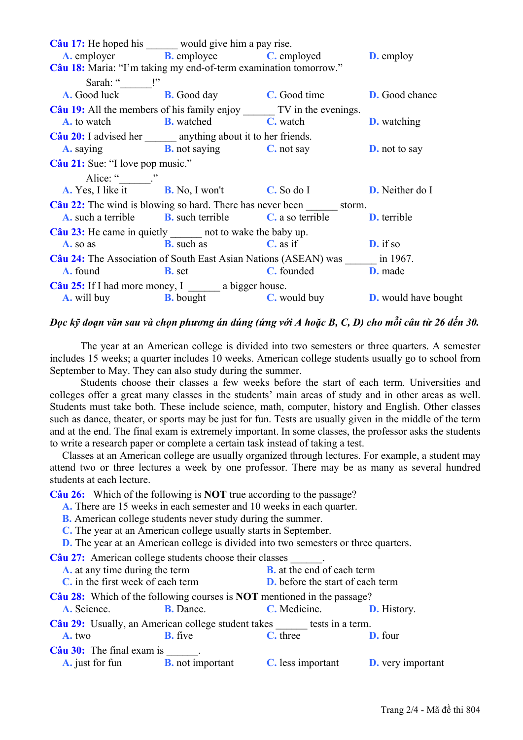| Câu 17: He hoped his would give him a pay rise.                                         |                                                                                              |                      |  |
|-----------------------------------------------------------------------------------------|----------------------------------------------------------------------------------------------|----------------------|--|
|                                                                                         | <b>A.</b> employer <b>B.</b> employee <b>C.</b> employed <b>D.</b> employ                    |                      |  |
| Câu 18: Maria: "I'm taking my end-of-term examination tomorrow."                        |                                                                                              |                      |  |
| Sarah: " ''                                                                             |                                                                                              |                      |  |
|                                                                                         | <b>A.</b> Good luck <b>B.</b> Good day <b>C.</b> Good time <b>D.</b> Good chance             |                      |  |
| Câu 19: All the members of his family enjoy ________ TV in the evenings.                |                                                                                              |                      |  |
|                                                                                         | <b>A.</b> to watch <b>B.</b> watched <b>C.</b> watch <b>D.</b> watching                      |                      |  |
| Câu 20: I advised her _______ anything about it to her friends.                         |                                                                                              |                      |  |
|                                                                                         | <b>A.</b> saying <b>B.</b> not saying <b>C.</b> not say <b>D.</b> not to say                 |                      |  |
| Câu 21: Sue: "I love pop music."                                                        |                                                                                              |                      |  |
| Alice: " $\qquad$ "                                                                     |                                                                                              |                      |  |
| <b>A.</b> Yes, I like it <b>B.</b> No, I won't <b>C.</b> So do I <b>D.</b> Neither do I |                                                                                              |                      |  |
| Câu 22: The wind is blowing so hard. There has never been ________ storm.               |                                                                                              |                      |  |
|                                                                                         | <b>A.</b> such a terrible <b>B.</b> such terrible <b>C.</b> a so terrible <b>D.</b> terrible |                      |  |
| <b>Câu 23:</b> He came in quietly _______ not to wake the baby up.                      |                                                                                              |                      |  |
|                                                                                         | <b>A.</b> so as <b>B.</b> such as <b>C.</b> as if                                            | $\mathbf{D}$ , if so |  |
| Câu 24: The Association of South East Asian Nations (ASEAN) was _______ in 1967.        |                                                                                              |                      |  |
|                                                                                         | <b>A.</b> found <b>B.</b> set                                                                | C. founded D. made   |  |
| Câu 25: If I had more money, $I \_\_\_\_\$ a bigger house.                              |                                                                                              |                      |  |
|                                                                                         | <b>A.</b> will buy <b>B.</b> bought <b>C.</b> would buy <b>D.</b> would have bought          |                      |  |

## Đọc kỹ đoạn văn sau và chon phương án đúng (ứng với A hoặc B, C, D) cho mỗi câu từ 26 đến 30.

The year at an American college is divided into two semesters or three quarters. A semester includes 15 weeks; a quarter includes 10 weeks. American college students usually go to school from September to May. They can also study during the summer.

Students choose their classes a few weeks before the start of each term. Universities and colleges offer a great many classes in the students' main areas of study and in other areas as well. Students must take both. These include science, math, computer, history and English. Other classes such as dance, theater, or sports may be just for fun. Tests are usually given in the middle of the term and at the end. The final exam is extremely important. In some classes, the professor asks the students to write a research paper or complete a certain task instead of taking a test.

Classes at an American college are usually organized through lectures. For example, a student may attend two or three lectures a week by one professor. There may be as many as several hundred students at each lecture

Câu 26: Which of the following is **NOT** true according to the passage?

A. There are 15 weeks in each semester and 10 weeks in each quarter.

**B.** American college students never study during the summer.

 $\sim$   $\sim$ 

 $\overline{11}$ 

C. The year at an American college usually starts in September.

**D.** The year at an American college is divided into two semesters or three quarters.  $\sim$   $\sim$ 

| Câu 27: American college students choose their classes                         |                         |                                         |                          |  |
|--------------------------------------------------------------------------------|-------------------------|-----------------------------------------|--------------------------|--|
| A. at any time during the term                                                 |                         | <b>B.</b> at the end of each term       |                          |  |
| C, in the first week of each term                                              |                         | <b>D.</b> before the start of each term |                          |  |
| Câu 28: Which of the following courses is <b>NOT</b> mentioned in the passage? |                         |                                         |                          |  |
| A. Science.                                                                    | <b>B.</b> Dance.        | C. Medicine.                            | <b>D.</b> History.       |  |
| Câu 29: Usually, an American college student takes tests in a term.            |                         |                                         |                          |  |
| A. two                                                                         | <b>B.</b> five          | C. three                                | D. four                  |  |
| $C\hat{a}$ u 30: The final exam is                                             |                         |                                         |                          |  |
| <b>A.</b> just for fun                                                         | <b>B.</b> not important | <b>C.</b> less important                | <b>D.</b> very important |  |
|                                                                                |                         |                                         |                          |  |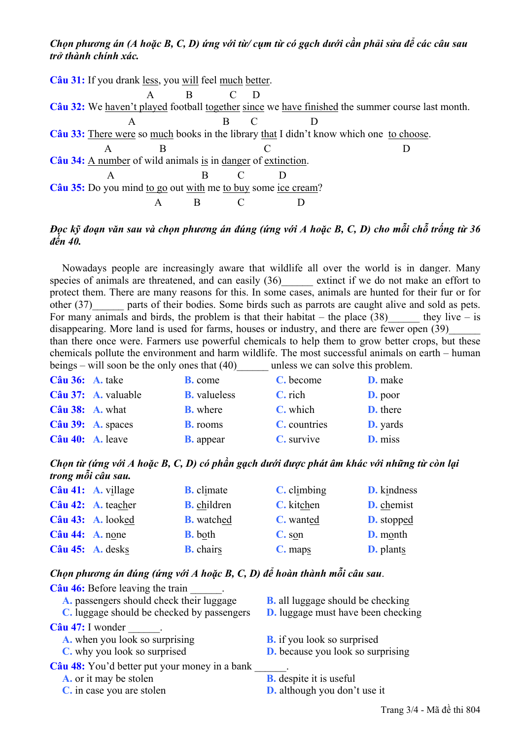# Chon phương án (A hoặc B, C, D) ứng với từ/ cụm từ có gạch dưới cần phải sửa để các câu sau *trở thành chính xác.*

Câu 31: If you drank less, you will feel much better. A B C D **Câu 32:** We haven't played football together since we have finished the summer course last month. A B C D **Câu 33:** There were so much books in the library that I didn't know which one to choose. A B C D **Câu 34:** A number of wild animals is in danger of extinction. A B C D **Câu 35:** Do you mind to go out with me to buy some ice cream? A B C D

# Đọc kỹ đoạn văn sau và chọn phương án đúng (ứng với A hoặc B, C, D) cho mỗi chỗ trống từ 36 *đến 40.*

Nowadays people are increasingly aware that wildlife all over the world is in danger. Many species of animals are threatened, and can easily  $(36)$  extinct if we do not make an effort to protect them. There are many reasons for this. In some cases, animals are hunted for their fur or for other (37) parts of their bodies. Some birds such as parrots are caught alive and sold as pets. For many animals and birds, the problem is that their habitat – the place  $(38)$  they live – is disappearing. More land is used for farms, houses or industry, and there are fewer open (39) than there once were. Farmers use powerful chemicals to help them to grow better crops, but these chemicals pollute the environment and harm wildlife. The most successful animals on earth – human beings – will soon be the only ones that (40) unless we can solve this problem.

| $C\hat{a}$ u 36: A. take |                     | <b>B.</b> come      | C. become    | <b>D.</b> make  |
|--------------------------|---------------------|---------------------|--------------|-----------------|
|                          | Câu 37: A. valuable | <b>B.</b> valueless | C. rich      | <b>D.</b> poor  |
| $C\hat{a}$ u 38: A. what |                     | <b>B.</b> where     | C. which     | <b>D.</b> there |
|                          | Câu 39: A. spaces   | <b>B.</b> rooms     | C. countries | <b>D.</b> yards |
| Câu 40: A. leave         |                     | <b>B.</b> appear    | C. survive   | D. miss         |

## Chọn từ (ứng với A hoặc B, C, D) có phần gạch dưới được phát âm khác với những từ còn lại *trong mỗi câu sau.*

|                           | $C\hat{a}u$ 41: A. village | <b>B.</b> climate  | $C.$ climbing | <b>D.</b> kindness |
|---------------------------|----------------------------|--------------------|---------------|--------------------|
|                           | Câu 42: A. teacher         | <b>B.</b> children | C. kitchen    | <b>D.</b> chemist  |
|                           | Câu 43: A. looked          | <b>B.</b> watched  | C. wanted     | <b>D.</b> stopped  |
| $C\hat{a}$ u 44: A. none  |                            | <b>B.</b> both     | C. son        | <b>D.</b> month    |
| $C\hat{a}$ u 45: A. desks |                            | <b>B.</b> chairs   | C. maps       | <b>D.</b> plants   |

## *Chọn phương án đúng (ứng với A hoặc B, C, D) để hoàn thành mỗi câu sau*.